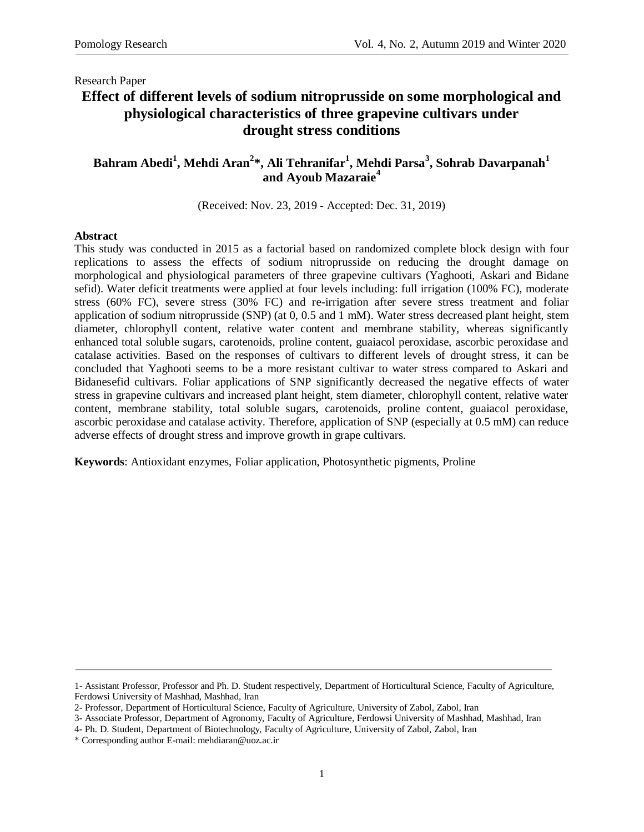# **Effect of different levels of sodium nitroprusside on some morphological and physiological characteristics of three grapevine cultivars under drought stress conditions**

### **Bahram Abedi<sup>1</sup> , Mehdi Aran<sup>2</sup> \*, Ali Tehranifar<sup>1</sup> , Mehdi Parsa<sup>3</sup> , Sohrab Davarpanah<sup>1</sup> and Ayoub Mazaraie<sup>4</sup>**

(Received: Nov. 23, 2019 - Accepted: Dec. 31, 2019)

#### **Abstract**

This study was conducted in 2015 as a factorial based on randomized complete block design with four replications to assess the effects of sodium nitroprusside on reducing the drought damage on morphological and physiological parameters of three grapevine cultivars (Yaghooti, Askari and Bidane sefid). Water deficit treatments were applied at four levels including: full irrigation (100% FC), moderate stress (60% FC), severe stress (30% FC) and re-irrigation after severe stress treatment and foliar application of sodium nitroprusside (SNP) (at 0, 0.5 and 1 mM). Water stress decreased plant height, stem diameter, chlorophyll content, relative water content and membrane stability, whereas significantly enhanced total soluble sugars, carotenoids, proline content, guaiacol peroxidase, ascorbic peroxidase and catalase activities. Based on the responses of cultivars to different levels of drought stress, it can be concluded that Yaghooti seems to be a more resistant cultivar to water stress compared to Askari and Bidanesefid cultivars. Foliar applications of SNP significantly decreased the negative effects of water stress in grapevine cultivars and increased plant height, stem diameter, chlorophyll content, relative water content, membrane stability, total soluble sugars, carotenoids, proline content, guaiacol peroxidase, ascorbic peroxidase and catalase activity. Therefore, application of SNP (especially at 0.5 mM) can reduce adverse effects of drought stress and improve growth in grape cultivars.

**Keywords**: Antioxidant enzymes, Foliar application, Photosynthetic pigments, Proline

<sup>1-</sup> Assistant Professor, Professor and Ph. D. Student respectively, Department of Horticultural Science, Faculty of Agriculture, Ferdowsi University of Mashhad, Mashhad, Iran

<sup>2-</sup> Professor, Department of Horticultural Science, Faculty of Agriculture, University of Zabol, Zabol, Iran

<sup>3-</sup> Associate Professor, Department of Agronomy, Faculty of Agriculture, Ferdowsi University of Mashhad, Mashhad, Iran

<sup>4-</sup> Ph. D. Student, Department of Biotechnology, Faculty of Agriculture, University of Zabol, Zabol, Iran

<sup>\*</sup> Corresponding author E-mail: mehdiaran@uoz.ac.ir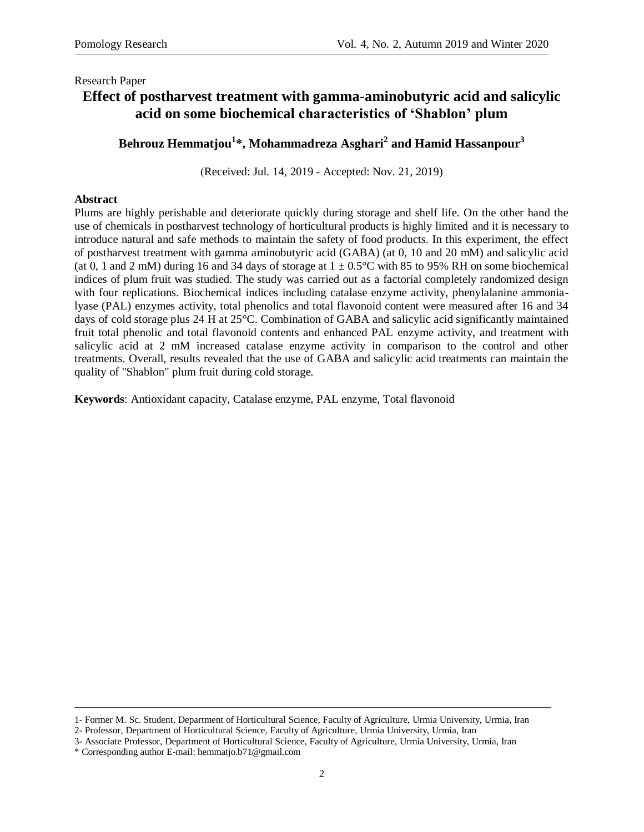# **Effect of postharvest treatment with gamma-aminobutyric acid and salicylic acid on some biochemical characteristics of 'Shablon' plum**

## **Behrouz Hemmatjou<sup>1</sup> \*, Mohammadreza Asghari<sup>2</sup> and Hamid Hassanpour<sup>3</sup>**

)Received: Jul. 14, 2019 - Accepted: Nov. 21, 2019)

### **Abstract**

Plums are highly perishable and deteriorate quickly during storage and shelf life. On the other hand the use of chemicals in postharvest technology of horticultural products is highly limited and it is necessary to introduce natural and safe methods to maintain the safety of food products. In this experiment, the effect of postharvest treatment with gamma aminobutyric acid (GABA) (at 0, 10 and 20 mM) and salicylic acid (at 0, 1 and 2 mM) during 16 and 34 days of storage at  $1 \pm 0.5^{\circ}$ C with 85 to 95% RH on some biochemical indices of plum fruit was studied. The study was carried out as a factorial completely randomized design with four replications. Biochemical indices including catalase enzyme activity, phenylalanine ammonialyase (PAL) enzymes activity, total phenolics and total flavonoid content were measured after 16 and 34 days of cold storage plus 24 H at 25°C. Combination of GABA and salicylic acid significantly maintained fruit total phenolic and total flavonoid contents and enhanced PAL enzyme activity, and treatment with salicylic acid at 2 mM increased catalase enzyme activity in comparison to the control and other treatments. Overall, results revealed that the use of GABA and salicylic acid treatments can maintain the quality of "Shablon" plum fruit during cold storage.

**Keywords**: Antioxidant capacity, Catalase enzyme, PAL enzyme, Total flavonoid

<sup>1-</sup> Former M. Sc. Student, Department of Horticultural Science, Faculty of Agriculture, Urmia University, Urmia, Iran

<sup>2-</sup> Professor, Department of Horticultural Science, Faculty of Agriculture, Urmia University, Urmia, Iran

<sup>3-</sup> Associate Professor, Department of Horticultural Science, Faculty of Agriculture, Urmia University, Urmia, Iran

<sup>\*</sup> Corresponding author E-mail: [hemmatjo.b71@gmail.com](mailto:hemmatjo.b71@gmail.com)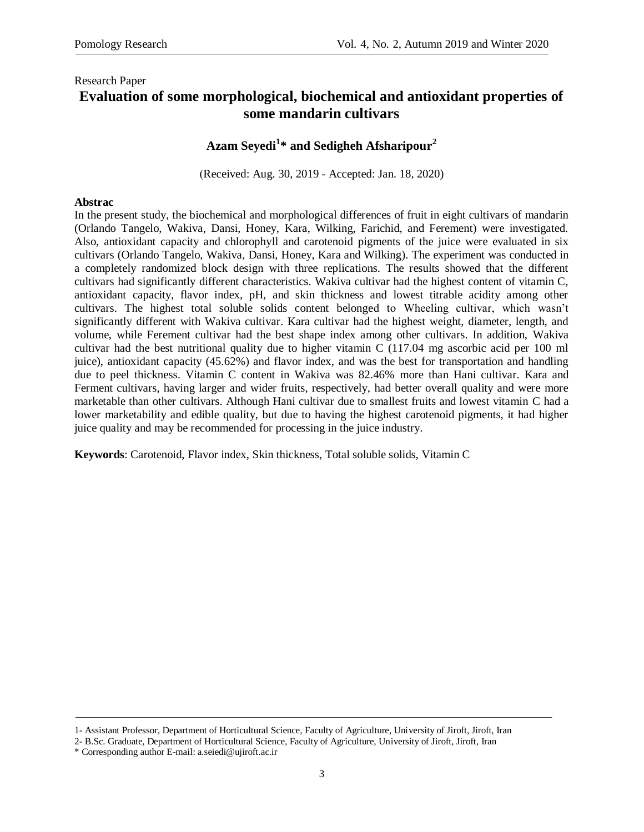### Research Paper **Evaluation of some morphological, biochemical and antioxidant properties of some mandarin cultivars**

## **Azam Seyedi<sup>1</sup> \* and Sedigheh Afsharipour<sup>2</sup>**

(Received: Aug. 30, 2019 - Accepted: Jan. 18, 2020)

### **Abstrac**

In the present study, the biochemical and morphological differences of fruit in eight cultivars of mandarin (Orlando Tangelo, Wakiva, Dansi, Honey, Kara, Wilking, Farichid, and Ferement) were investigated. Also, antioxidant capacity and chlorophyll and carotenoid pigments of the juice were evaluated in six cultivars (Orlando Tangelo, Wakiva, Dansi, Honey, Kara and Wilking). The experiment was conducted in a completely randomized block design with three replications. The results showed that the different cultivars had significantly different characteristics. Wakiva cultivar had the highest content of vitamin C, antioxidant capacity, flavor index, pH, and skin thickness and lowest titrable acidity among other cultivars. The highest total soluble solids content belonged to Wheeling cultivar, which wasn't significantly different with Wakiva cultivar. Kara cultivar had the highest weight, diameter, length, and volume, while Ferement cultivar had the best shape index among other cultivars. In addition, Wakiva cultivar had the best nutritional quality due to higher vitamin C (117.04 mg ascorbic acid per 100 ml juice), antioxidant capacity (45.62%) and flavor index, and was the best for transportation and handling due to peel thickness. Vitamin C content in Wakiva was 82.46% more than Hani cultivar. Kara and Ferment cultivars, having larger and wider fruits, respectively, had better overall quality and were more marketable than other cultivars. Although Hani cultivar due to smallest fruits and lowest vitamin C had a lower marketability and edible quality, but due to having the highest carotenoid pigments, it had higher juice quality and may be recommended for processing in the juice industry.

**Keywords**: Carotenoid, Flavor index, Skin thickness, Total soluble solids, Vitamin C

<sup>1-</sup> Assistant Professor, Department of Horticultural Science, Faculty of Agriculture, University of Jiroft, Jiroft, Iran

<sup>2-</sup> B.Sc. Graduate, Department of Horticultural Science, Faculty of Agriculture, University of Jiroft, Jiroft, Iran

<sup>\*</sup> Corresponding author E-mail: a.seiedi@ujiroft.ac.ir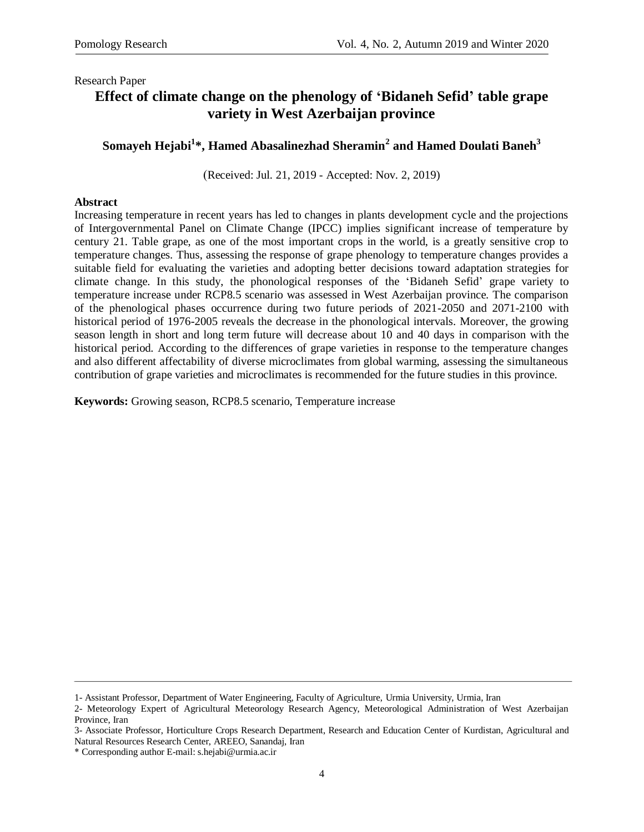# **Effect of climate change on the phenology of 'Bidaneh Sefid' table grape variety in West Azerbaijan province**

## **Somayeh Hejabi<sup>1</sup> \*, Hamed Abasalinezhad Sheramin<sup>2</sup> and Hamed Doulati Baneh<sup>3</sup>**

(Received: Jul. 21, 2019 - Accepted: Nov. 2, 2019)

### **Abstract**

Increasing temperature in recent years has led to changes in plants development cycle and the projections of Intergovernmental Panel on Climate Change (IPCC) implies significant increase of temperature by century 21. Table grape, as one of the most important crops in the world, is a greatly sensitive crop to temperature changes. Thus, assessing the response of grape phenology to temperature changes provides a suitable field for evaluating the varieties and adopting better decisions toward adaptation strategies for climate change. In this study, the phonological responses of the 'Bidaneh Sefid' grape variety to temperature increase under RCP8.5 scenario was assessed in West Azerbaijan province. The comparison of the phenological phases occurrence during two future periods of 2021-2050 and 2071-2100 with historical period of 1976-2005 reveals the decrease in the phonological intervals. Moreover, the growing season length in short and long term future will decrease about 10 and 40 days in comparison with the historical period. According to the differences of grape varieties in response to the temperature changes and also different affectability of diverse microclimates from global warming, assessing the simultaneous contribution of grape varieties and microclimates is recommended for the future studies in this province.

**Keywords:** Growing season, RCP8.5 scenario, Temperature increase

<sup>1-</sup> Assistant Professor, Department of Water Engineering, Faculty of Agriculture, Urmia University, Urmia, Iran

<sup>2-</sup> Meteorology Expert of Agricultural Meteorology Research Agency, Meteorological Administration of West Azerbaijan Province, Iran

<sup>3-</sup> Associate Professor, Horticulture Crops Research Department, Research and Education Center of Kurdistan, Agricultural and Natural Resources Research Center, AREEO, Sanandaj, Iran

<sup>\*</sup> Corresponding author E-mail: s.hejabi@urmia.ac.ir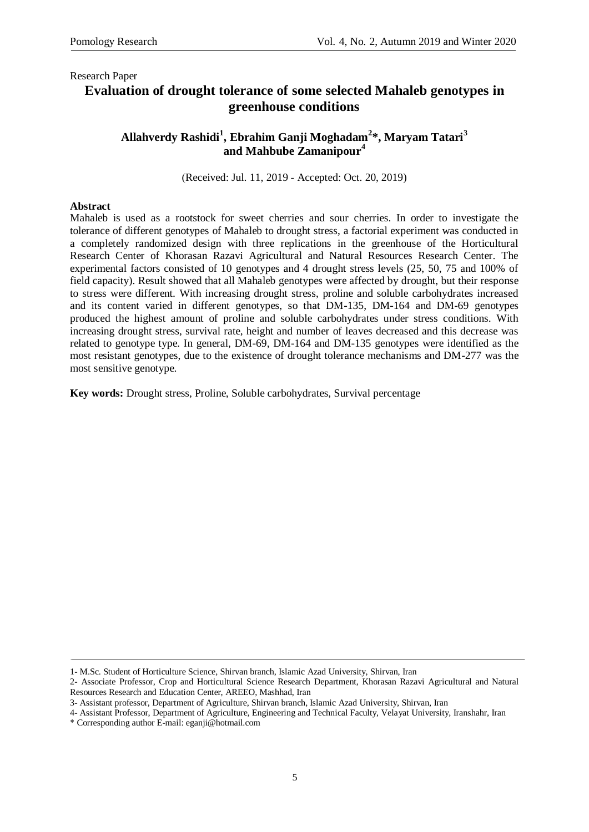# **Evaluation of drought tolerance of some selected Mahaleb genotypes in greenhouse conditions**

### **Allahverdy Rashidi<sup>1</sup> , Ebrahim Ganji Moghadam<sup>2</sup> \*, Maryam Tatari<sup>3</sup> and Mahbube Zamanipour<sup>4</sup>**

)Received: Jul. 11, 2019 - Accepted: Oct. 20, 2019)

### **Abstract**

Mahaleb is used as a rootstock for sweet cherries and sour cherries. In order to investigate the tolerance of different genotypes of Mahaleb to drought stress, a factorial experiment was conducted in a completely randomized design with three replications in the greenhouse of the Horticultural Research Center of Khorasan Razavi Agricultural and Natural Resources Research Center. The experimental factors consisted of 10 genotypes and 4 drought stress levels (25, 50, 75 and 100% of field capacity). Result showed that all Mahaleb genotypes were affected by drought, but their response to stress were different. With increasing drought stress, proline and soluble carbohydrates increased and its content varied in different genotypes, so that DM-135, DM-164 and DM-69 genotypes produced the highest amount of proline and soluble carbohydrates under stress conditions. With increasing drought stress, survival rate, height and number of leaves decreased and this decrease was related to genotype type. In general, DM-69, DM-164 and DM-135 genotypes were identified as the most resistant genotypes, due to the existence of drought tolerance mechanisms and DM-277 was the most sensitive genotype.

**Key words:** Drought stress, Proline, Soluble carbohydrates, Survival percentage

<sup>1-</sup> M.Sc. Student of Horticulture Science, Shirvan branch, Islamic Azad University, Shirvan, Iran

<sup>2-</sup> Associate Professor, Crop and Horticultural Science Research Department, Khorasan Razavi Agricultural and Natural Resources Research and Education Center, AREEO, Mashhad, Iran

<sup>3-</sup> Assistant professor, Department of Agriculture, Shirvan branch, Islamic Azad University, Shirvan, Iran

<sup>4-</sup> Assistant Professor, Department of Agriculture, Engineering and Technical Faculty, Velayat University, Iranshahr, Iran

<sup>\*</sup> Corresponding author E-mail: [eganji@hotmail.com](mailto:eganji@hotmail.com)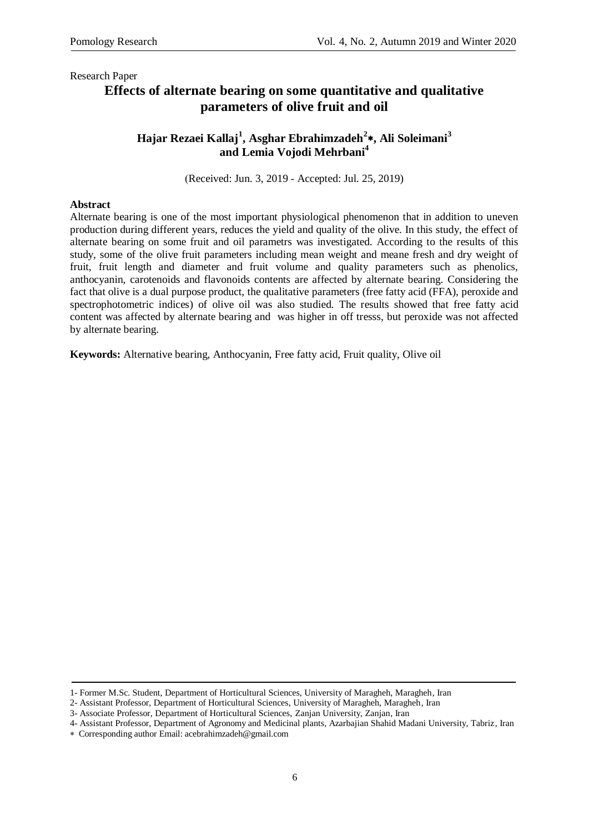# **Effects of alternate bearing on some quantitative and qualitative parameters of olive fruit and oil**

### **Hajar Rezaei Kallaj<sup>1</sup> , Asghar Ebrahimzadeh<sup>2</sup> , Ali Soleimani<sup>3</sup> and Lemia Vojodi Mehrbani<sup>4</sup>**

)Received: Jun. 3, 2019 - Accepted: Jul. 25, 2019)

#### **Abstract**

Alternate bearing is one of the most important physiological phenomenon that in addition to uneven production during different years, reduces the yield and quality of the olive. In this study, the effect of alternate bearing on some fruit and oil parametrs was investigated. According to the results of this study, some of the olive fruit parameters including mean weight and meane fresh and dry weight of fruit, fruit length and diameter and fruit volume and quality parameters such as phenolics, anthocyanin, carotenoids and flavonoids contents are affected by alternate bearing. Considering the fact that olive is a dual purpose product, the qualitative parameters (free fatty acid (FFA), peroxide and spectrophotometric indices) of olive oil was also studied. The results showed that free fatty acid content was affected by alternate bearing and was higher in off tresss, but peroxide was not affected by alternate bearing.

**Keywords:** Alternative bearing, Anthocyanin, Free fatty acid, Fruit quality, Olive oil

<sup>1-</sup> Former M.Sc. Student, Department of Horticultural Sciences, University of Maragheh, Maragheh, Iran

<sup>2-</sup> Assistant Professor, Department of Horticultural Sciences, University of Maragheh, Maragheh, Iran

<sup>3-</sup> Associate Professor, Department of Horticultural Sciences, Zanjan University, Zanjan, Iran

<sup>4-</sup> Assistant Professor, Department of Agronomy and Medicinal plants, Azarbajian Shahid Madani University, Tabriz, Iran

Corresponding author Email: acebrahimzadeh@gmail.com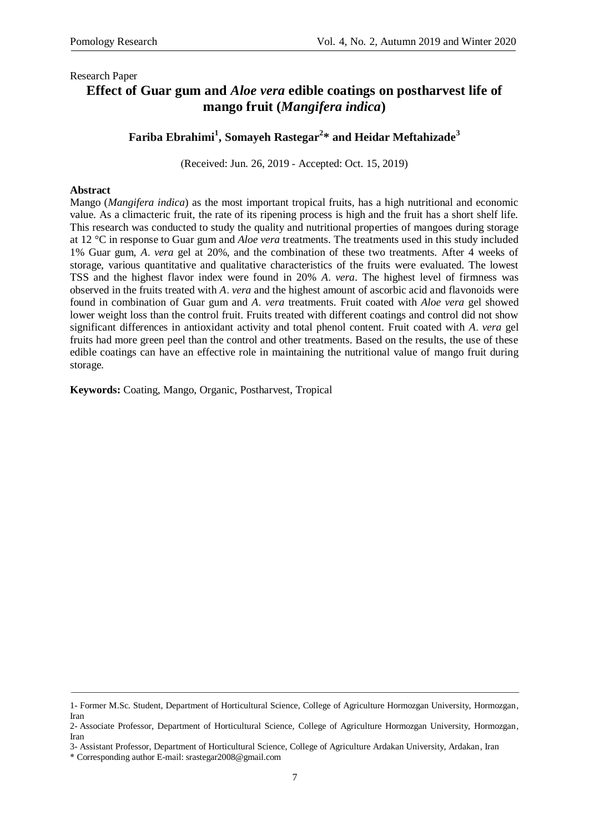# **Effect of Guar gum and** *Aloe vera* **edible coatings on postharvest life of mango fruit (***Mangifera indica***)**

## **Fariba Ebrahimi<sup>1</sup> , Somayeh Rastegar<sup>2</sup> \* and Heidar Meftahizade<sup>3</sup>**

)Received: Jun. 26, 2019 - Accepted: Oct. 15, 2019)

### **Abstract**

Mango (*Mangifera indica*) as the most important tropical fruits, has a high nutritional and economic value. As a climacteric fruit, the rate of its ripening process is high and the fruit has a short shelf life. This research was conducted to study the quality and nutritional properties of mangoes during storage at 12 °C in response to Guar gum and *Aloe vera* treatments. The treatments used in this study included 1% Guar gum, *A*. *vera* gel at 20%, and the combination of these two treatments. After 4 weeks of storage, various quantitative and qualitative characteristics of the fruits were evaluated. The lowest TSS and the highest flavor index were found in 20% *A*. *vera*. The highest level of firmness was observed in the fruits treated with *A*. *vera* and the highest amount of ascorbic acid and flavonoids were found in combination of Guar gum and *A*. *vera* treatments. Fruit coated with *Aloe vera* gel showed lower weight loss than the control fruit. Fruits treated with different coatings and control did not show significant differences in antioxidant activity and total phenol content. Fruit coated with *A*. *vera* gel fruits had more green peel than the control and other treatments. Based on the results, the use of these edible coatings can have an effective role in maintaining the nutritional value of mango fruit during storage.

**Keywords:** Coating, Mango, Organic, Postharvest, Tropical

<sup>1-</sup> Former M.Sc. Student, Department of Horticultural Science, College of Agriculture Hormozgan University, Hormozgan, Iran

<sup>2-</sup> Associate Professor, Department of Horticultural Science, College of Agriculture Hormozgan University, Hormozgan, Iran

<sup>3-</sup> Assistant Professor, Department of Horticultural Science, College of Agriculture Ardakan University, Ardakan, Iran

<sup>\*</sup> Corresponding author E-mail: srastegar2008@gmail.com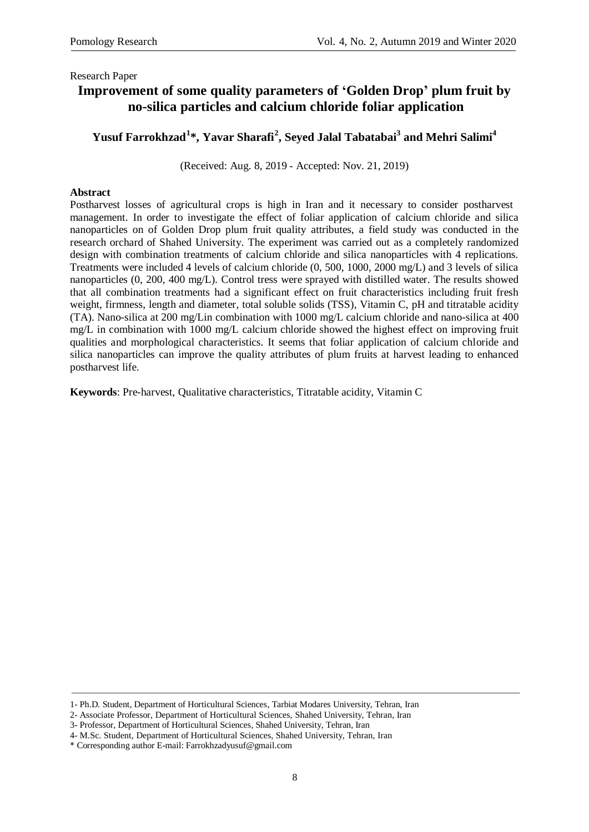## **Improvement of some quality parameters of 'Golden Drop' plum fruit by no-silica particles and calcium chloride foliar application**

## **Yusuf Farrokhzad<sup>1</sup> \*, Yavar Sharafi<sup>2</sup> , Seyed Jalal Tabatabai<sup>3</sup> and Mehri Salimi<sup>4</sup>**

(Received: Aug. 8, 2019 - Accepted: Nov. 21, 2019)

#### **Abstract**

Postharvest losses of agricultural crops is high in Iran and it necessary to consider postharvest management. In order to investigate the effect of foliar application of calcium chloride and silica nanoparticles on of Golden Drop plum fruit quality attributes, a field study was conducted in the research orchard of Shahed University. The experiment was carried out as a completely randomized design with combination treatments of calcium chloride and silica nanoparticles with 4 replications. Treatments were included 4 levels of calcium chloride (0, 500, 1000, 2000 mg/L) and 3 levels of silica nanoparticles (0, 200, 400 mg/L). Control tress were sprayed with distilled water. The results showed that all combination treatments had a significant effect on fruit characteristics including fruit fresh weight, firmness, length and diameter, total soluble solids (TSS), Vitamin C, pH and titratable acidity (TA). Nano-silica at 200 mg/Lin combination with 1000 mg/L calcium chloride and nano-silica at 400 mg/L in combination with 1000 mg/L calcium chloride showed the highest effect on improving fruit qualities and morphological characteristics. It seems that foliar application of calcium chloride and silica nanoparticles can improve the quality attributes of plum fruits at harvest leading to enhanced postharvest life.

**Keywords**: Pre-harvest, Qualitative characteristics, Titratable acidity, Vitamin C

<sup>1-</sup> Ph.D. Student, Department of Horticultural Sciences, Tarbiat Modares University, Tehran, Iran

<sup>2-</sup> Associate Professor, Department of Horticultural Sciences, Shahed University, Tehran, Iran

<sup>3-</sup> Professor, Department of Horticultural Sciences, Shahed University, Tehran, Iran

<sup>4-</sup> M.Sc. Student, Department of Horticultural Sciences, Shahed University, Tehran, Iran

<sup>\*</sup> Corresponding author E-mail: [Farrokhzadyusuf@gmail.com](mailto:Farrokhzadyusuf@gmail.com)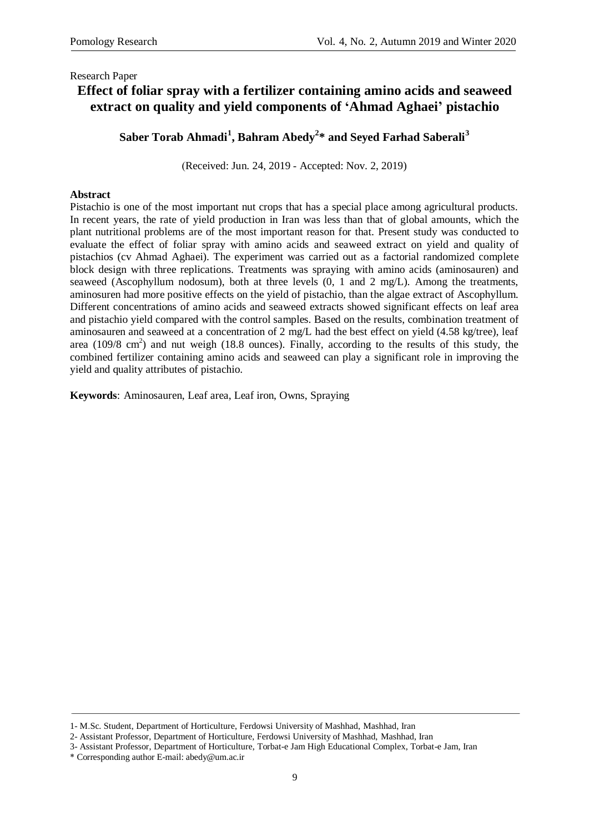# **Effect of foliar spray with a fertilizer containing amino acids and seaweed extract on quality and yield components of 'Ahmad Aghaei' pistachio**

**Saber Torab Ahmadi<sup>1</sup> , Bahram Abedy<sup>2</sup> \* and Seyed Farhad Saberali<sup>3</sup>**

(Received: Jun. 24, 2019 - Accepted: Nov. 2, 2019)

### **Abstract**

Pistachio is one of the most important nut crops that has a special place among agricultural products. In recent years, the rate of yield production in Iran was less than that of global amounts, which the plant nutritional problems are of the most important reason for that. Present study was conducted to evaluate the effect of foliar spray with amino acids and seaweed extract on yield and quality of pistachios (cv Ahmad Aghaei). The experiment was carried out as a factorial randomized complete block design with three replications. Treatments was spraying with amino acids (aminosauren) and seaweed (Ascophyllum nodosum), both at three levels (0, 1 and 2 mg/L). Among the treatments, aminosuren had more positive effects on the yield of pistachio, than the algae extract of Ascophyllum. Different concentrations of amino acids and seaweed extracts showed significant effects on leaf area and pistachio yield compared with the control samples. Based on the results, combination treatment of aminosauren and seaweed at a concentration of 2 mg/L had the best effect on yield (4.58 kg/tree), leaf area  $(109/8 \text{ cm}^2)$  and nut weigh  $(18.8 \text{ ounces})$ . Finally, according to the results of this study, the combined fertilizer containing amino acids and seaweed can play a significant role in improving the yield and quality attributes of pistachio.

**Keywords**: Aminosauren, Leaf area, Leaf iron, Owns, Spraying

<sup>1-</sup> M.Sc. Student, Department of Horticulture, Ferdowsi University of Mashhad, Mashhad, Iran

<sup>2-</sup> Assistant Professor, Department of Horticulture, Ferdowsi University of Mashhad, Mashhad, Iran

<sup>3-</sup> Assistant Professor, Department of Horticulture, Torbat-e Jam High Educational Complex, Torbat-e Jam, Iran

<sup>\*</sup> Corresponding author E-mail: [abedy@um.ac.ir](mailto:abedy@um.ac.ir)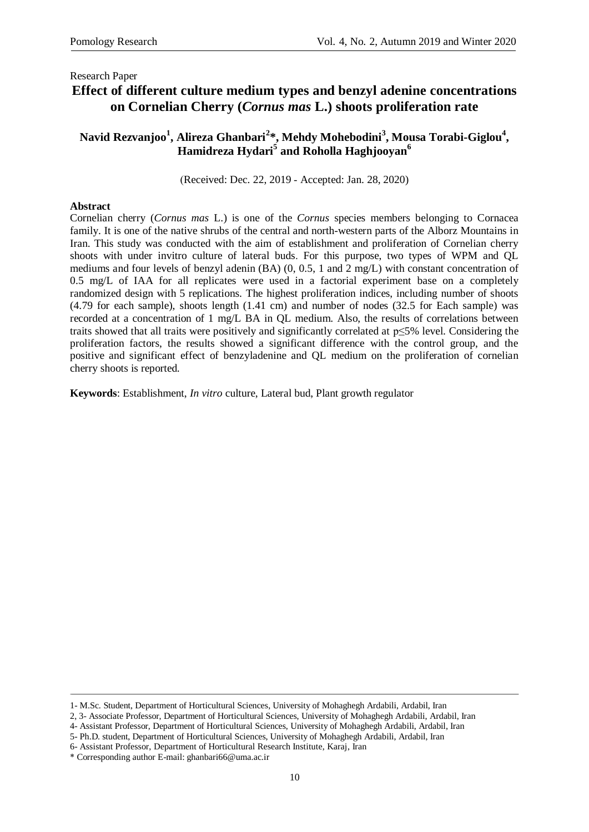### Research Paper **Effect of different culture medium types and benzyl adenine concentrations on Cornelian Cherry (***Cornus mas* **L.) shoots proliferation rate**

## **Navid Rezvanjoo<sup>1</sup> , Alireza Ghanbari<sup>2</sup> \*, Mehdy Mohebodini<sup>3</sup> , Mousa Torabi-Giglou<sup>4</sup> , Hamidreza Hydari<sup>5</sup> and Roholla Haghjooyan<sup>6</sup>**

)Received: Dec. 22, 2019 - Accepted: Jan. 28, 2020)

### **Abstract**

Cornelian cherry (*Cornus mas* L.) is one of the *Cornus* species members belonging to Cornacea family. It is one of the native shrubs of the central and north-western parts of the Alborz Mountains in Iran. This study was conducted with the aim of establishment and proliferation of Cornelian cherry shoots with under invitro culture of lateral buds. For this purpose, two types of WPM and QL mediums and four levels of benzyl adenin (BA) (0, 0.5, 1 and 2 mg/L) with constant concentration of 0.5 mg/L of IAA for all replicates were used in a factorial experiment base on a completely randomized design with 5 replications. The highest proliferation indices, including number of shoots (4.79 for each sample), shoots length (1.41 cm) and number of nodes (32.5 for Each sample) was recorded at a concentration of 1 mg/L BA in QL medium. Also, the results of correlations between traits showed that all traits were positively and significantly correlated at p≤5% level. Considering the proliferation factors, the results showed a significant difference with the control group, and the positive and significant effect of benzyladenine and QL medium on the proliferation of cornelian cherry shoots is reported.

**Keywords**: Establishment, *In vitro* culture, Lateral bud, Plant growth regulator

<sup>1-</sup> M.Sc. Student, Department of Horticultural Sciences, University of Mohaghegh Ardabili, Ardabil, Iran

<sup>2, 3-</sup> Associate Professor, Department of Horticultural Sciences, University of Mohaghegh Ardabili, Ardabil, Iran

<sup>4-</sup> Assistant Professor, Department of Horticultural Sciences, University of Mohaghegh Ardabili, Ardabil, Iran

<sup>5-</sup> Ph.D. student, Department of Horticultural Sciences, University of Mohaghegh Ardabili, Ardabil, Iran

<sup>6-</sup> Assistant Professor, Department of Horticultural Research Institute, Karaj, Iran

<sup>\*</sup> Corresponding author E-mail: [ghanbari66@u](mailto:ghanbari66@yahoo.com)ma.ac.ir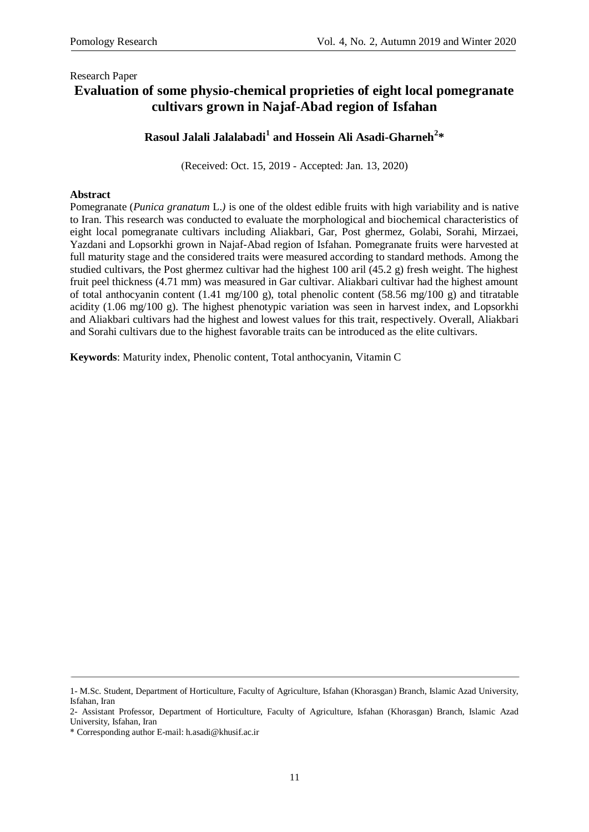# **Evaluation of some physio-chemical proprieties of eight local pomegranate cultivars grown in Najaf-Abad region of Isfahan**

## **Rasoul Jalali Jalalabadi<sup>1</sup> and Hossein Ali Asadi-Gharneh<sup>2</sup> \***

)Received: Oct. 15, 2019 - Accepted: Jan. 13, 2020)

### **Abstract**

Pomegranate (*Punica granatum* L.*)* is one of the oldest edible fruits with high variability and is native to Iran. This research was conducted to evaluate the morphological and biochemical characteristics of eight local pomegranate cultivars including Aliakbari, Gar, Post ghermez, Golabi, Sorahi, Mirzaei, Yazdani and Lopsorkhi grown in Najaf-Abad region of Isfahan. Pomegranate fruits were harvested at full maturity stage and the considered traits were measured according to standard methods. Among the studied cultivars, the Post ghermez cultivar had the highest 100 aril (45.2 g) fresh weight. The highest fruit peel thickness (4.71 mm) was measured in Gar cultivar. Aliakbari cultivar had the highest amount of total anthocyanin content (1.41 mg/100 g), total phenolic content (58.56 mg/100 g) and titratable acidity (1.06 mg/100 g). The highest phenotypic variation was seen in harvest index, and Lopsorkhi and Aliakbari cultivars had the highest and lowest values for this trait, respectively. Overall, Aliakbari and Sorahi cultivars due to the highest favorable traits can be introduced as the elite cultivars.

**Keywords**: Maturity index, Phenolic content, Total anthocyanin, Vitamin C

<sup>1-</sup> M.Sc. Student, Department of Horticulture, Faculty of Agriculture, Isfahan (Khorasgan) Branch, Islamic Azad University, Isfahan, Iran

<sup>2-</sup> Assistant Professor, Department of Horticulture, Faculty of Agriculture, Isfahan (Khorasgan) Branch, Islamic Azad University, Isfahan, Iran

<sup>\*</sup> Corresponding author E-mail: [h.asadi@khusif.ac.ir](mailto:h.asadi@khusif.ac.ir)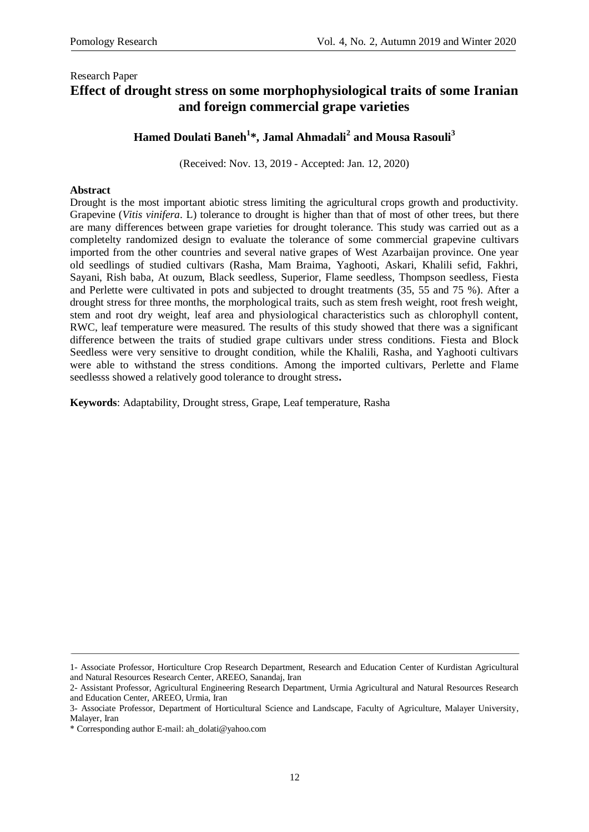## Research Paper **Effect of drought stress on some morphophysiological traits of some Iranian and foreign commercial grape varieties**

## **Hamed Doulati Baneh<sup>1</sup> \*, Jamal Ahmadali<sup>2</sup> and Mousa Rasouli<sup>3</sup>**

(Received: Nov. 13, 2019 - Accepted: Jan. 12, 2020)

### **Abstract**

Drought is the most important abiotic stress limiting the agricultural crops growth and productivity. Grapevine (*Vitis vinifera*. L) tolerance to drought is higher than that of most of other trees, but there are many differences between grape varieties for drought tolerance. This study was carried out as a completelty randomized design to evaluate the tolerance of some commercial grapevine cultivars imported from the other countries and several native grapes of West Azarbaijan province. One year old seedlings of studied cultivars (Rasha, Mam Braima, Yaghooti, Askari, Khalili sefid, Fakhri, Sayani, Rish baba, At ouzum, Black seedless, Superior, Flame seedless, Thompson seedless, Fiesta and Perlette were cultivated in pots and subjected to drought treatments (35, 55 and 75 %). After a drought stress for three months, the morphological traits, such as stem fresh weight, root fresh weight, stem and root dry weight, leaf area and physiological characteristics such as chlorophyll content, RWC, leaf temperature were measured. The results of this study showed that there was a significant difference between the traits of studied grape cultivars under stress conditions. Fiesta and Block Seedless were very sensitive to drought condition, while the Khalili, Rasha, and Yaghooti cultivars were able to withstand the stress conditions. Among the imported cultivars, Perlette and Flame seedlesss showed a relatively good tolerance to drought stress**.**

**Keywords**: Adaptability, Drought stress, Grape, Leaf temperature, Rasha

<sup>1-</sup> Associate Professor, Horticulture Crop Research Department, Research and Education Center of Kurdistan Agricultural and Natural Resources Research Center, AREEO, Sanandaj, Iran

<sup>2-</sup> Assistant Professor, Agricultural Engineering Research Department, Urmia Agricultural and Natural Resources Research and Education Center, AREEO, Urmia, Iran

<sup>3-</sup> Associate Professor, Department of Horticultural Science and Landscape, Faculty of Agriculture, Malayer University, Malayer, Iran

<sup>\*</sup> Corresponding author E-mail: ah\_dolati@yahoo.com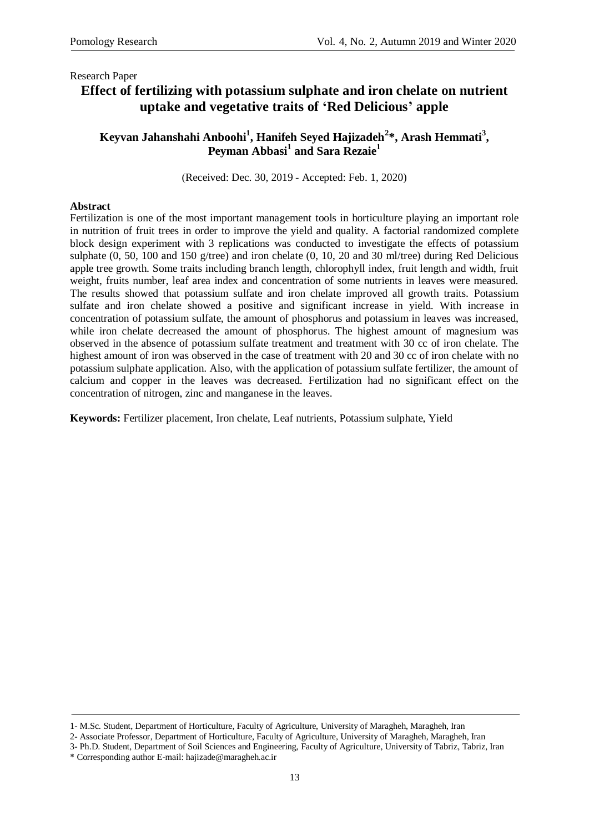# **Effect of fertilizing with potassium sulphate and iron chelate on nutrient uptake and vegetative traits of 'Red Delicious' apple**

### **Keyvan Jahanshahi Anboohi<sup>1</sup> , Hanifeh Seyed Hajizadeh<sup>2</sup> \*, Arash Hemmati<sup>3</sup> , Peyman Abbasi<sup>1</sup> and Sara Rezaie<sup>1</sup>**

)Received: Dec. 30, 2019 - Accepted: Feb. 1, 2020)

### **Abstract**

Fertilization is one of the most important management tools in horticulture playing an important role in nutrition of fruit trees in order to improve the yield and quality. A factorial randomized complete block design experiment with 3 replications was conducted to investigate the effects of potassium sulphate (0, 50, 100 and 150 g/tree) and iron chelate (0, 10, 20 and 30 ml/tree) during Red Delicious apple tree growth. Some traits including branch length, chlorophyll index, fruit length and width, fruit weight, fruits number, leaf area index and concentration of some nutrients in leaves were measured. The results showed that potassium sulfate and iron chelate improved all growth traits. Potassium sulfate and iron chelate showed a positive and significant increase in yield. With increase in concentration of potassium sulfate, the amount of phosphorus and potassium in leaves was increased, while iron chelate decreased the amount of phosphorus. The highest amount of magnesium was observed in the absence of potassium sulfate treatment and treatment with 30 cc of iron chelate. The highest amount of iron was observed in the case of treatment with 20 and 30 cc of iron chelate with no potassium sulphate application. Also, with the application of potassium sulfate fertilizer, the amount of calcium and copper in the leaves was decreased. Fertilization had no significant effect on the concentration of nitrogen, zinc and manganese in the leaves.

**Keywords:** Fertilizer placement, Iron chelate, Leaf nutrients, Potassium sulphate, Yield

<sup>1-</sup> M.Sc. Student, Department of Horticulture, Faculty of Agriculture, University of Maragheh, Maragheh, Iran

<sup>2-</sup> Associate Professor, Department of Horticulture, Faculty of Agriculture, University of Maragheh, Maragheh, Iran

<sup>3-</sup> Ph.D. Student, Department of Soil Sciences and Engineering, Faculty of Agriculture, University of Tabriz, Tabriz, Iran \* Corresponding author E-mail: hajizade@maragheh.ac.ir